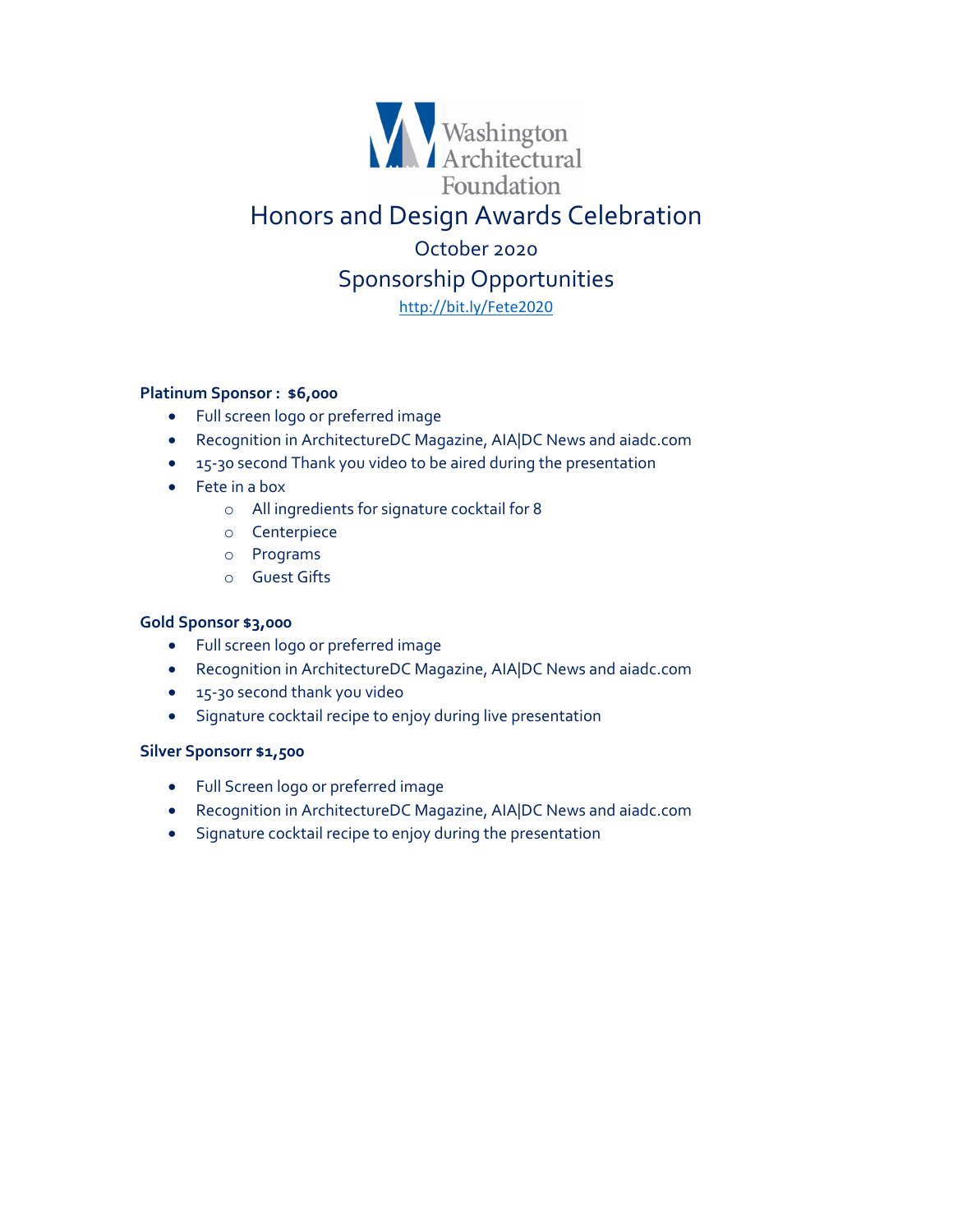

## **Platinum Sponsor : \$6,000**

- Full screen logo or preferred image
- Recognition in ArchitectureDC Magazine, AIA|DC News and aiadc.com
- 15-30 second Thank you video to be aired during the presentation
- Fete in a box
	- o All ingredients for signature cocktail for 8
	- o Centerpiece
	- o Programs
	- o Guest Gifts

## **Gold Sponsor \$3,000**

- Full screen logo or preferred image
- Recognition in ArchitectureDC Magazine, AIA|DC News and aiadc.com
- 15-30 second thank you video
- Signature cocktail recipe to enjoy during live presentation

## **Silver Sponsorr \$1,500**

- Full Screen logo or preferred image
- Recognition in ArchitectureDC Magazine, AIA|DC News and aiadc.com
- Signature cocktail recipe to enjoy during the presentation